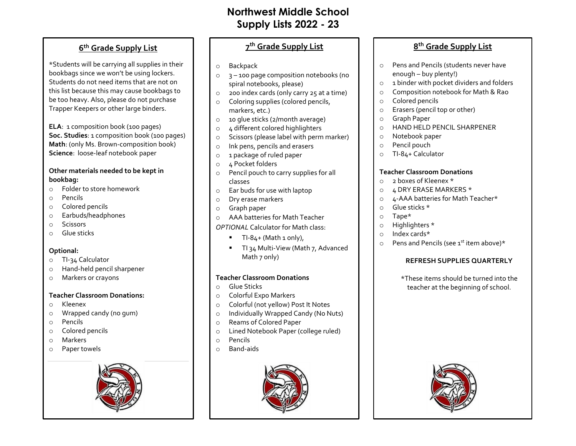# **Northwest Middle School Supply Lists 2022 - 23**

# **6 th Grade Supply List**

\*Students will be carrying all supplies in their bookbags since we won't be using lockers. Students do not need items that are not on this list because this may cause bookbags to be too heavy. Also, please do not purchase Trapper Keepers or other large binders.

**ELA**: 1 composition book (100 pages) **Soc. Studies**: 1 composition book (100 pages) **Math**: (only Ms. Brown-composition book) **Science**: loose-leaf notebook paper

### **Other materials needed to be kept in bookbag:**

- o Folder to store homework
- o Pencils
- o Colored pencils
- o Earbuds/headphones
- o Scissors
- o Glue sticks

### **Optional:**

- o TI-34 Calculator
- o Hand-held pencil sharpener
- o Markers or crayons

## **Teacher Classroom Donations:**

- o Kleenex
- o Wrapped candy (no gum)
- o Pencils
- o Colored pencils
- o Markers
- o Paper towels



# **7 th Grade Supply List**

- o Backpack
- o 3 100 page composition notebooks (no spiral notebooks, please)
- o 200 index cards (only carry 25 at a time)
- o Coloring supplies (colored pencils, markers, etc.)
- o 10 glue sticks (2/month average)
- o 4 different colored highlighters
- o Scissors (please label with perm marker)
- o Ink pens, pencils and erasers
- o 1 package of ruled paper
- o 4 Pocket folders
- o Pencil pouch to carry supplies for all classes
- o Ear buds for use with laptop
- o Dry erase markers
- o Graph paper
- o AAA batteries for Math Teacher

### *OPTIONAL* Calculator for Math class:

- TI-84+ (Math 1 only),
- TI 34 Multi-View (Math 7, Advanced Math 7 only)

## **Teacher Classroom Donations**

- o Glue Sticks
- o Colorful Expo Markers
- o Colorful (not yellow) Post It Notes
- o Individually Wrapped Candy (No Nuts)
- o Reams of Colored Paper
- o Lined Notebook Paper (college ruled)
- o Pencils
- o Band-aids



# **8 th Grade Supply List**

- o Pens and Pencils (students never have enough – buy plenty!)
- o 1 binder with pocket dividers and folders
- o Composition notebook for Math & Rao
- o Colored pencils
- o Erasers (pencil top or other)
- o Graph Paper
- o HAND HELD PENCIL SHARPENER
- o Notebook paper
- o Pencil pouch
- o TI-84+ Calculator

## **Teacher Classroom Donations**

- o 2 boxes of Kleenex \*
- o 4 DRY ERASE MARKERS \*
- o 4-AAA batteries for Math Teacher\*
- o Glue sticks \*
- o Tape\*
- o Highlighters \*
- o Index cards\*
- $\circ$  Pens and Pencils (see 1<sup>st</sup> item above)\*

# **REFRESH SUPPLIES QUARTERLY**

\*These items should be turned into the teacher at the beginning of school.